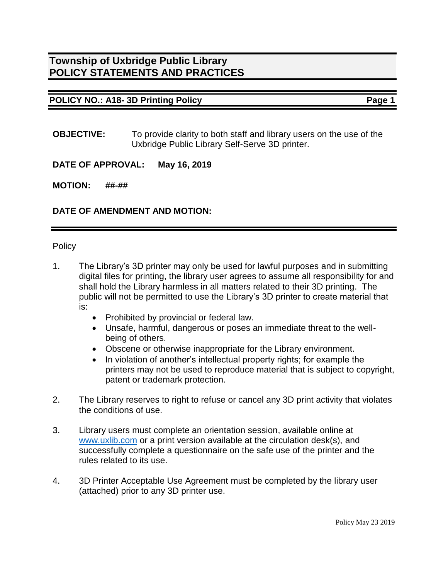### **POLICY NO.: A18- 3D Printing Policy Page 1**

**OBJECTIVE:** To provide clarity to both staff and library users on the use of the Uxbridge Public Library Self-Serve 3D printer.

#### **DATE OF APPROVAL: May 16, 2019**

#### **MOTION: ##-##**

#### **DATE OF AMENDMENT AND MOTION:**

**Policy** 

- 1. The Library's 3D printer may only be used for lawful purposes and in submitting digital files for printing, the library user agrees to assume all responsibility for and shall hold the Library harmless in all matters related to their 3D printing. The public will not be permitted to use the Library's 3D printer to create material that is:
	- Prohibited by provincial or federal law.
	- Unsafe, harmful, dangerous or poses an immediate threat to the wellbeing of others.
	- Obscene or otherwise inappropriate for the Library environment.
	- In violation of another's intellectual property rights; for example the printers may not be used to reproduce material that is subject to copyright, patent or trademark protection.
- 2. The Library reserves to right to refuse or cancel any 3D print activity that violates the conditions of use.
- 3. Library users must complete an orientation session, available online at [www.uxlib.com](http://www.uxlib.com/) or a print version available at the circulation desk(s), and successfully complete a questionnaire on the safe use of the printer and the rules related to its use.
- 4. 3D Printer Acceptable Use Agreement must be completed by the library user (attached) prior to any 3D printer use.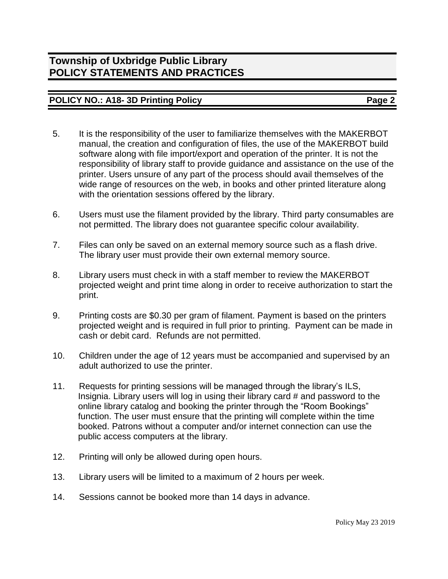## **POLICY NO.: A18- 3D Printing Policy Page 2**

- 5. It is the responsibility of the user to familiarize themselves with the MAKERBOT manual, the creation and configuration of files, the use of the MAKERBOT build software along with file import/export and operation of the printer. It is not the responsibility of library staff to provide guidance and assistance on the use of the printer. Users unsure of any part of the process should avail themselves of the wide range of resources on the web, in books and other printed literature along with the orientation sessions offered by the library.
- 6. Users must use the filament provided by the library. Third party consumables are not permitted. The library does not guarantee specific colour availability.
- 7. Files can only be saved on an external memory source such as a flash drive. The library user must provide their own external memory source.
- 8. Library users must check in with a staff member to review the MAKERBOT projected weight and print time along in order to receive authorization to start the print.
- 9. Printing costs are \$0.30 per gram of filament. Payment is based on the printers projected weight and is required in full prior to printing. Payment can be made in cash or debit card. Refunds are not permitted.
- 10. Children under the age of 12 years must be accompanied and supervised by an adult authorized to use the printer.
- 11. Requests for printing sessions will be managed through the library's ILS, Insignia. Library users will log in using their library card # and password to the online library catalog and booking the printer through the "Room Bookings" function. The user must ensure that the printing will complete within the time booked. Patrons without a computer and/or internet connection can use the public access computers at the library.
- 12. Printing will only be allowed during open hours.
- 13. Library users will be limited to a maximum of 2 hours per week.
- 14. Sessions cannot be booked more than 14 days in advance.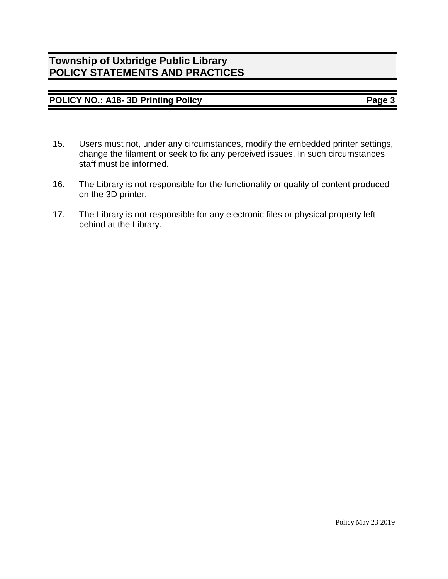# **POLICY NO.: A18- 3D Printing Policy Page 3**

- 15. Users must not, under any circumstances, modify the embedded printer settings, change the filament or seek to fix any perceived issues. In such circumstances staff must be informed.
- 16. The Library is not responsible for the functionality or quality of content produced on the 3D printer.
- 17. The Library is not responsible for any electronic files or physical property left behind at the Library.